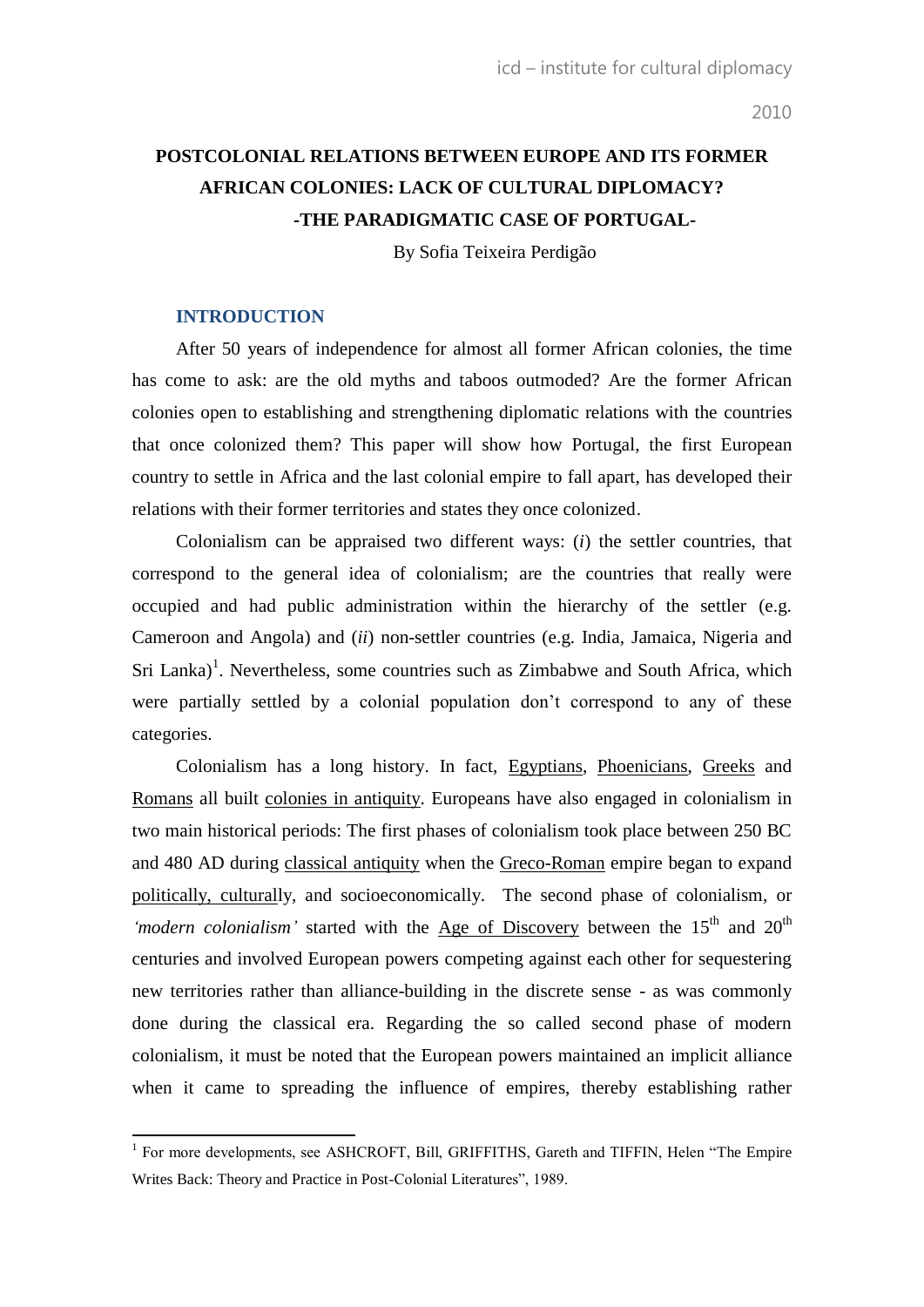# **POSTCOLONIAL RELATIONS BETWEEN EUROPE AND ITS FORMER AFRICAN COLONIES: LACK OF CULTURAL DIPLOMACY? -THE PARADIGMATIC CASE OF PORTUGAL-**

By Sofia Teixeira Perdigão

## **INTRODUCTION**

After 50 years of independence for almost all former African colonies, the time has come to ask: are the old myths and taboos outmoded? Are the former African colonies open to establishing and strengthening diplomatic relations with the countries that once colonized them? This paper will show how Portugal, the first European country to settle in Africa and the last colonial empire to fall apart, has developed their relations with their former territories and states they once colonized.

Colonialism can be appraised two different ways: (*i*) the settler countries, that correspond to the general idea of colonialism; are the countries that really were occupied and had public administration within the hierarchy of the settler (e.g. Cameroon and Angola) and (*ii*) non-settler countries (e.g. India, Jamaica, Nigeria and  $\text{Sri Lanka}$ <sup>1</sup>. Nevertheless, some countries such as Zimbabwe and South Africa, which were partially settled by a colonial population don't correspond to any of these categories.

Colonialism has a long history. In fact, [Egyptians,](http://en.wikipedia.org/wiki/Ancient_Egypt) [Phoenicians,](http://en.wikipedia.org/wiki/Phoenicia) [Greeks](http://en.wikipedia.org/wiki/Ancient_Greece) and [Romans](http://en.wikipedia.org/wiki/Ancient_Rome) all built [colonies in antiquity.](http://en.wikipedia.org/wiki/Colonies_in_antiquity) Europeans have also engaged in colonialism in two main historical periods: The first phases of colonialism took place between 250 BC and 480 AD during [classical antiquity](http://en.wikipedia.org/wiki/Classical_antiquity) when the [Greco-Roman](http://en.wikipedia.org/wiki/Greco-Roman) empire began to expand [politically, culturall](http://en.wikipedia.org/w/index.php?title=Politico-cultural&action=edit&redlink=1)y, and socioeconomically. The second phase of colonialism, or 'modern colonialism' started with the [Age of Discovery](http://en.wikipedia.org/wiki/Age_of_Discovery) between the 15<sup>th</sup> and 20<sup>th</sup> centuries and involved European powers competing against each other for sequestering new territories rather than alliance-building in the discrete sense - as was commonly done during the classical era. Regarding the so called second phase of modern colonialism, it must be noted that the European powers maintained an implicit alliance when it came to spreading the influence of empires, thereby establishing rather

<sup>&</sup>lt;sup>1</sup> For more developments, see ASHCROFT, Bill, GRIFFITHS, Gareth and TIFFIN, Helen "The Empire Writes Back: Theory and Practice in Post-Colonial Literatures", 1989.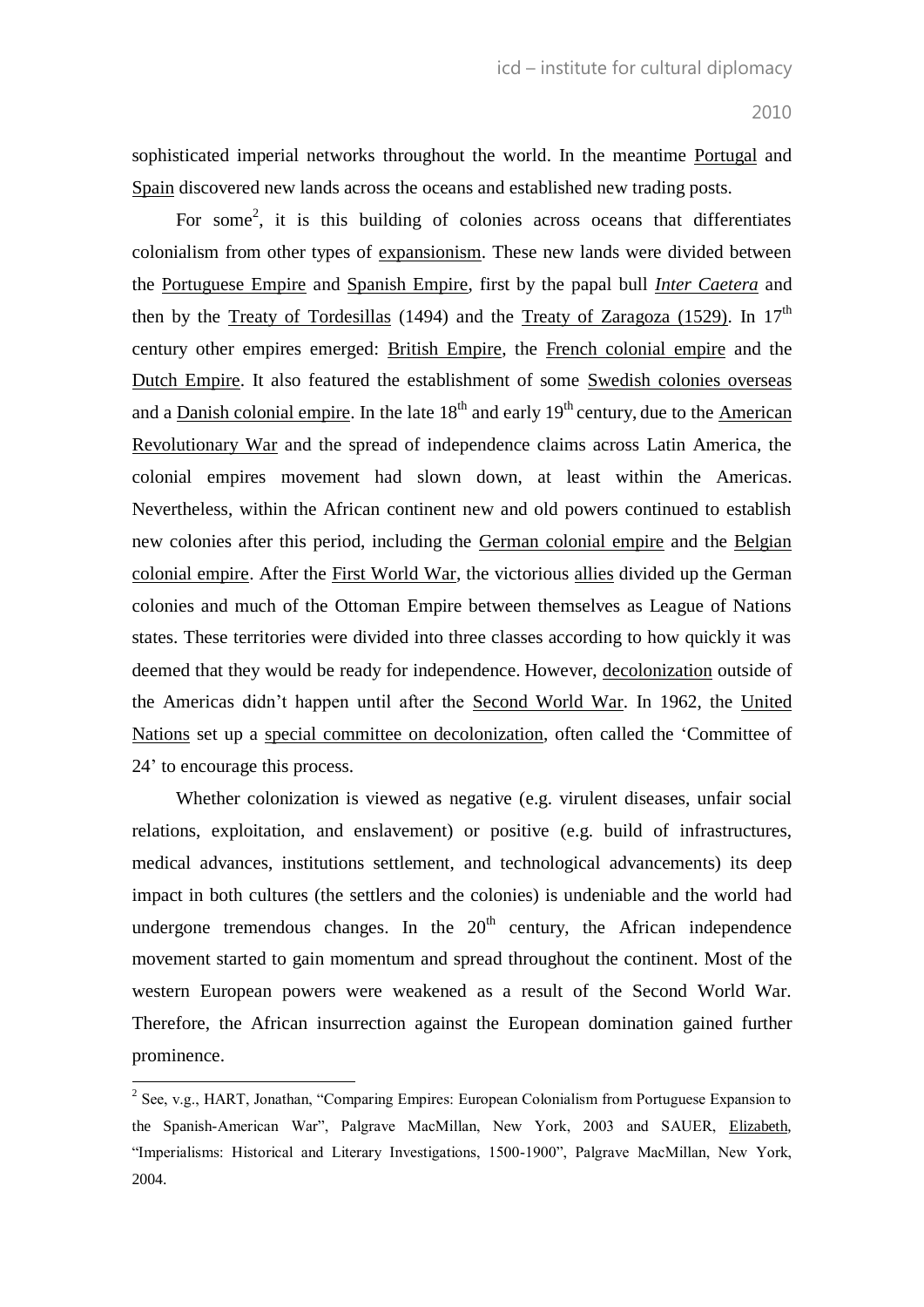sophisticated imperial networks throughout the world. In the meantime [Portugal](http://en.wikipedia.org/wiki/Portugal) and [Spain](http://en.wikipedia.org/wiki/Spain) discovered new lands across the oceans and established new trading posts.

For some<sup>2</sup>, it is this building of colonies across oceans that differentiates colonialism from other types of [expansionism.](http://en.wikipedia.org/wiki/Expansionism) These new lands were divided between the [Portuguese Empire](http://en.wikipedia.org/wiki/Portuguese_Empire) and [Spanish Empire,](http://en.wikipedia.org/wiki/Spanish_Empire) first by the papal bull *[Inter Caetera](http://en.wikipedia.org/wiki/Inter_caetera)* and then by the [Treaty of Tordesillas](http://en.wikipedia.org/wiki/Treaty_of_Tordesillas) (1494) and the [Treaty of Zaragoza \(1529\).](http://en.wikipedia.org/wiki/Treaty_of_Zaragoza_(1529)) In  $17<sup>th</sup>$ century other empires emerged: [British Empire,](http://en.wikipedia.org/wiki/British_Empire) the [French colonial empire](http://en.wikipedia.org/wiki/French_colonial_empire) and the Dutch [Empire.](http://en.wikipedia.org/wiki/Dutch_Empire) It also featured the establishment of some Swedish colonies [overseas](http://en.wikipedia.org/wiki/Swedish_overseas_colonies)  and a [Danish colonial empire.](http://en.wikipedia.org/wiki/Danish_colonial_empire) In the late  $18<sup>th</sup>$  and early  $19<sup>th</sup>$  century, due to the American [Revolutionary War](http://en.wikipedia.org/wiki/American_Revolutionary_War) and the spread of independence claims across Latin America, the colonial empires movement had slown down, at least within the Americas. Nevertheless, within the African continent new and old powers continued to establish new colonies after this period, including the [German colonial empire](http://en.wikipedia.org/wiki/German_colonial_empire) and the [Belgian](http://en.wikipedia.org/wiki/Belgian_colonial_empire)  [colonial empire.](http://en.wikipedia.org/wiki/Belgian_colonial_empire) After the [First World War,](http://en.wikipedia.org/wiki/World_War_I) the victorious [allies](http://en.wikipedia.org/wiki/Allies_of_World_War_I) divided up the German colonies and much of the Ottoman Empire between themselves as League of Nations states. These territories were divided into three classes according to how quickly it was deemed that they would be ready for independence. However, [decolonization](http://en.wikipedia.org/wiki/Decolonisation) outside of the Americas didn"t happen until after the [Second World War.](http://en.wikipedia.org/wiki/Second_World_War) In 1962, the [United](http://en.wikipedia.org/wiki/United_Nations)  [Nations](http://en.wikipedia.org/wiki/United_Nations) set up a [special committee on decolonization,](http://en.wikipedia.org/wiki/Special_Committee_on_Decolonization) often called the "Committee of 24" to encourage this process.

Whether colonization is viewed as negative (e.g. virulent diseases, unfair social relations, exploitation, and enslavement) or positive (e.g. build of infrastructures, medical advances, institutions settlement, and technological advancements) its deep impact in both cultures (the settlers and the colonies) is undeniable and the world had undergone tremendous changes. In the  $20<sup>th</sup>$  century, the African independence movement started to gain momentum and spread throughout the continent. Most of the western European powers were weakened as a result of the Second World War. Therefore, the African insurrection against the European domination gained further prominence.

<sup>&</sup>lt;sup>2</sup> See, v.g., HART, Jonathan, "Comparing Empires: European Colonialism from Portuguese Expansion to the Spanish-American War", Palgrave MacMillan, New York, 2003 and SAUER, [Elizabeth,](http://www.amazon.com/s/ref=ntt_athr_dp_sr_1?_encoding=UTF8&sort=relevancerank&search-alias=books&field-author=Elizabeth%20Sauer) "Imperialisms: Historical and Literary Investigations, 1500-1900", Palgrave MacMillan, New York, 2004.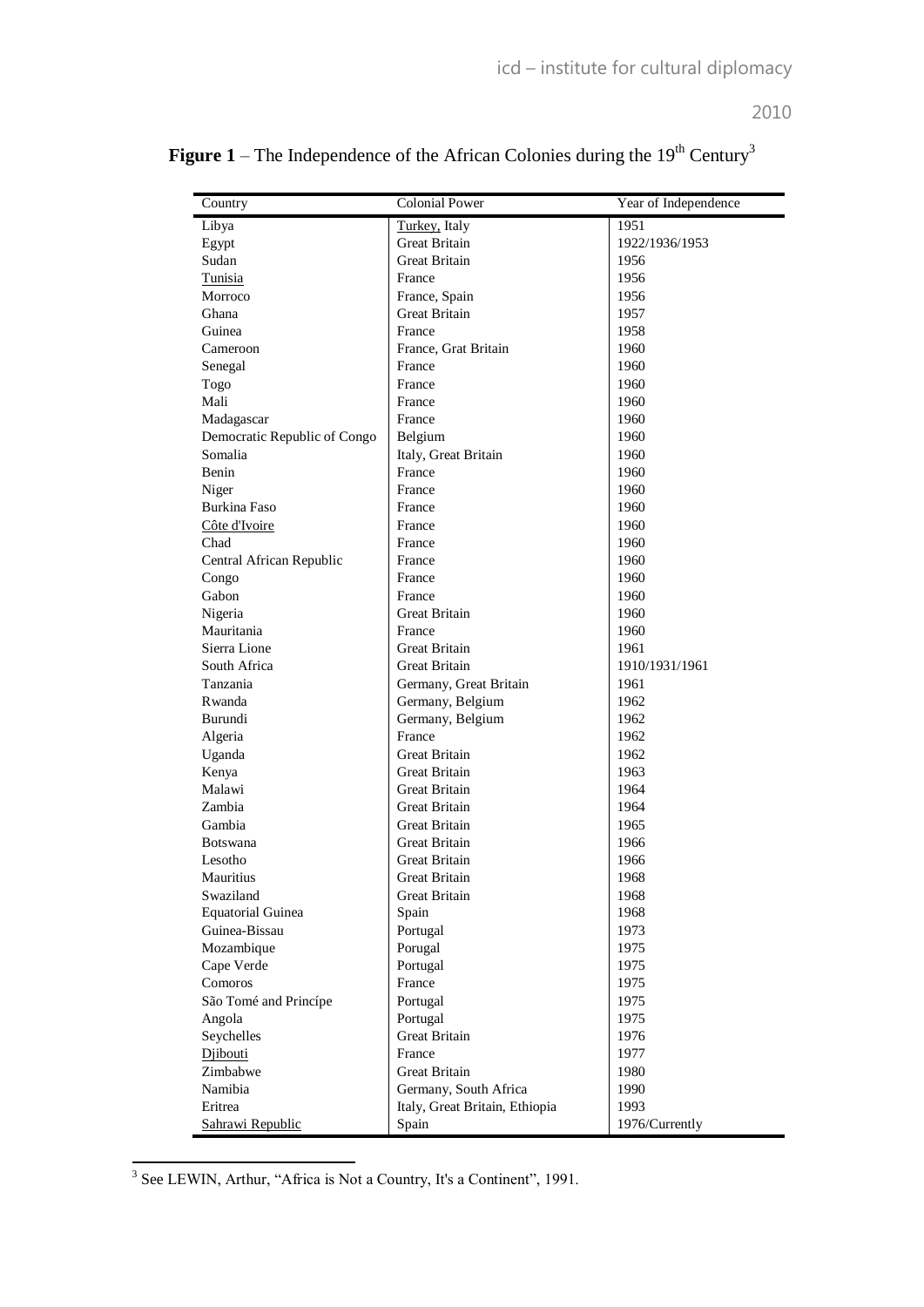| Country                      | <b>Colonial Power</b>          | Year of Independence |
|------------------------------|--------------------------------|----------------------|
| Libya                        | Turkey, Italy                  | 1951                 |
| Egypt                        | Great Britain                  | 1922/1936/1953       |
| Sudan                        | <b>Great Britain</b>           | 1956                 |
| Tunisia                      | France                         | 1956                 |
| Morroco                      | France, Spain                  | 1956                 |
| Ghana                        | Great Britain                  | 1957                 |
| Guinea                       | France                         | 1958                 |
| Cameroon                     | France, Grat Britain           | 1960                 |
| Senegal                      | France                         | 1960                 |
| Togo                         | France                         | 1960                 |
| Mali                         | France                         | 1960                 |
| Madagascar                   | France                         | 1960                 |
| Democratic Republic of Congo | Belgium                        | 1960                 |
| Somalia                      | Italy, Great Britain           | 1960                 |
| Benin                        | France                         | 1960                 |
| Niger                        | France                         | 1960                 |
| <b>Burkina Faso</b>          | France                         | 1960                 |
| Côte d'Ivoire                | France                         | 1960                 |
| Chad                         | France                         | 1960                 |
| Central African Republic     | France                         | 1960                 |
| Congo                        | France                         | 1960                 |
| Gabon                        | France                         | 1960                 |
| Nigeria                      | <b>Great Britain</b>           | 1960                 |
| Mauritania                   | France                         | 1960                 |
| Sierra Lione                 | <b>Great Britain</b>           | 1961                 |
| South Africa                 | <b>Great Britain</b>           | 1910/1931/1961       |
| Tanzania                     | Germany, Great Britain         | 1961                 |
| Rwanda                       | Germany, Belgium               | 1962                 |
| Burundi                      | Germany, Belgium               | 1962                 |
| Algeria                      | France                         | 1962                 |
| Uganda                       | <b>Great Britain</b>           | 1962                 |
| Kenya                        | <b>Great Britain</b>           | 1963                 |
| Malawi                       | <b>Great Britain</b>           | 1964                 |
| Zambia                       | Great Britain                  | 1964                 |
| Gambia                       | <b>Great Britain</b>           | 1965                 |
| <b>Botswana</b>              | <b>Great Britain</b>           | 1966                 |
| Lesotho                      | <b>Great Britain</b>           | 1966                 |
| Mauritius                    | Great Britain                  | 1968                 |
| Swaziland                    | Great Britain                  | 1968                 |
| <b>Equatorial Guinea</b>     | Spain                          | 1968                 |
| Guinea-Bissau                | Portugal                       | 1973                 |
| Mozambique                   | Porugal                        | 1975                 |
| Cape Verde                   | Portugal                       | 1975                 |
| Comoros                      | France                         | 1975                 |
| São Tomé and Princípe        | Portugal                       | 1975                 |
| Angola                       | Portugal                       | 1975                 |
| Seychelles                   | Great Britain                  | 1976                 |
| Diibouti                     | France                         | 1977                 |
| Zimbabwe                     | <b>Great Britain</b>           | 1980                 |
| Namibia                      | Germany, South Africa          | 1990                 |
| Eritrea                      | Italy, Great Britain, Ethiopia | 1993                 |
| Sahrawi Republic             | Spain                          | 1976/Currently       |

| <b>Figure 1</b> – The Independence of the African Colonies during the $19th$ Century <sup>3</sup> |  |  |
|---------------------------------------------------------------------------------------------------|--|--|
|                                                                                                   |  |  |

<sup>&</sup>lt;sup>3</sup> See LEWIN, Arthur, "Africa is Not a Country, It's a Continent", 1991.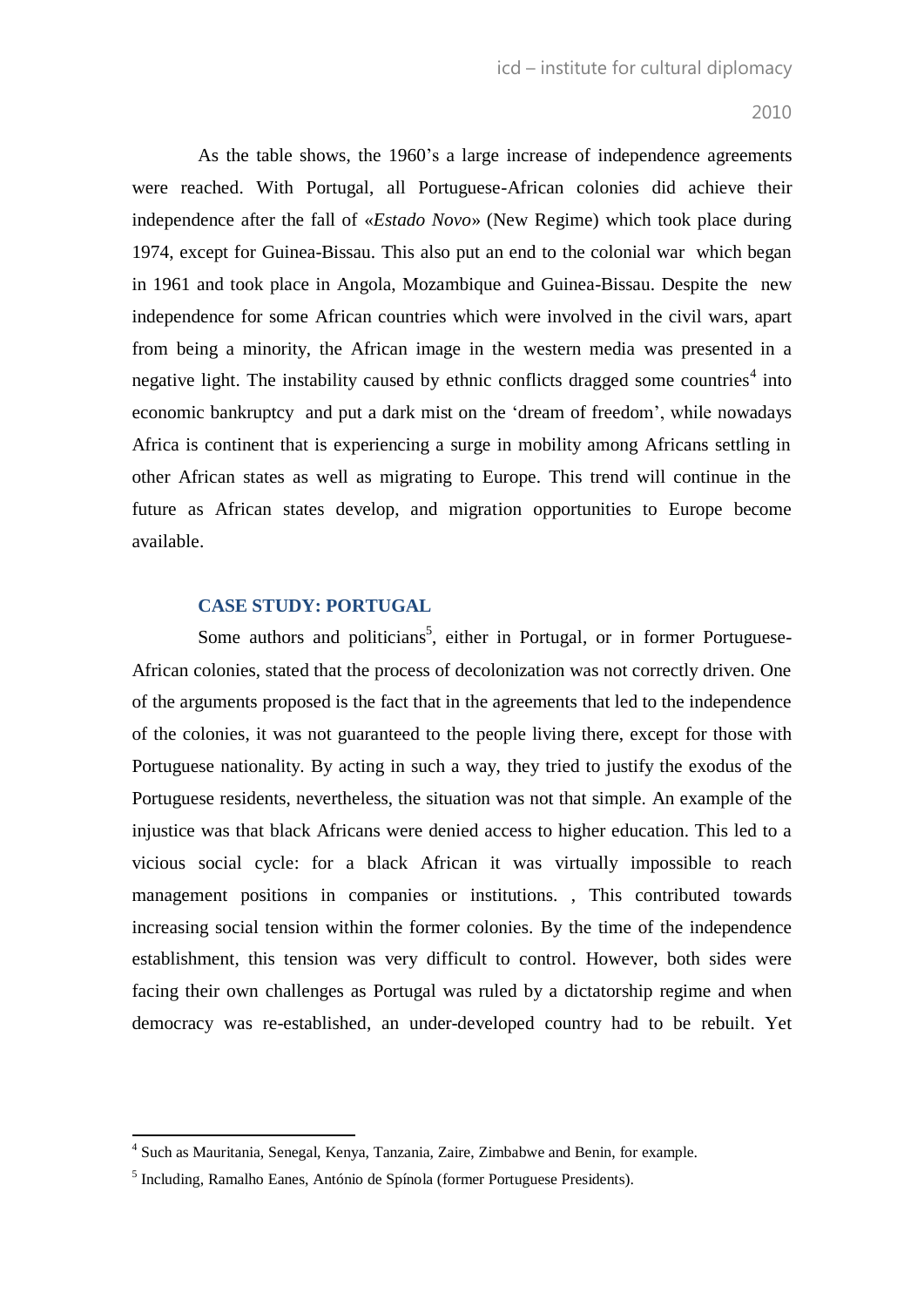As the table shows, the 1960's a large increase of independence agreements were reached. With Portugal, all Portuguese-African colonies did achieve their independence after the fall of «*Estado Novo*» (New Regime) which took place during 1974, except for Guinea-Bissau. This also put an end to the colonial war which began in 1961 and took place in Angola, Mozambique and Guinea-Bissau. Despite the new independence for some African countries which were involved in the civil wars, apart from being a minority, the African image in the western media was presented in a negative light. The instability caused by ethnic conflicts dragged some countries<sup>4</sup> into economic bankruptcy and put a dark mist on the "dream of freedom", while nowadays Africa is continent that is experiencing a surge in mobility among Africans settling in other African states as well as migrating to Europe. This trend will continue in the future as African states develop, and migration opportunities to Europe become available.

## **CASE STUDY: PORTUGAL**

Some authors and politicians<sup>5</sup>, either in Portugal, or in former Portuguese-African colonies, stated that the process of decolonization was not correctly driven. One of the arguments proposed is the fact that in the agreements that led to the independence of the colonies, it was not guaranteed to the people living there, except for those with Portuguese nationality. By acting in such a way, they tried to justify the exodus of the Portuguese residents, nevertheless, the situation was not that simple. An example of the injustice was that black Africans were denied access to higher education. This led to a vicious social cycle: for a black African it was virtually impossible to reach management positions in companies or institutions. , This contributed towards increasing social tension within the former colonies. By the time of the independence establishment, this tension was very difficult to control. However, both sides were facing their own challenges as Portugal was ruled by a dictatorship regime and when democracy was re-established, an under-developed country had to be rebuilt. Yet

 4 Such as Mauritania, Senegal, Kenya, Tanzania, Zaire, Zimbabwe and Benin, for example.

<sup>&</sup>lt;sup>5</sup> Including, Ramalho Eanes, António de Spínola (former Portuguese Presidents).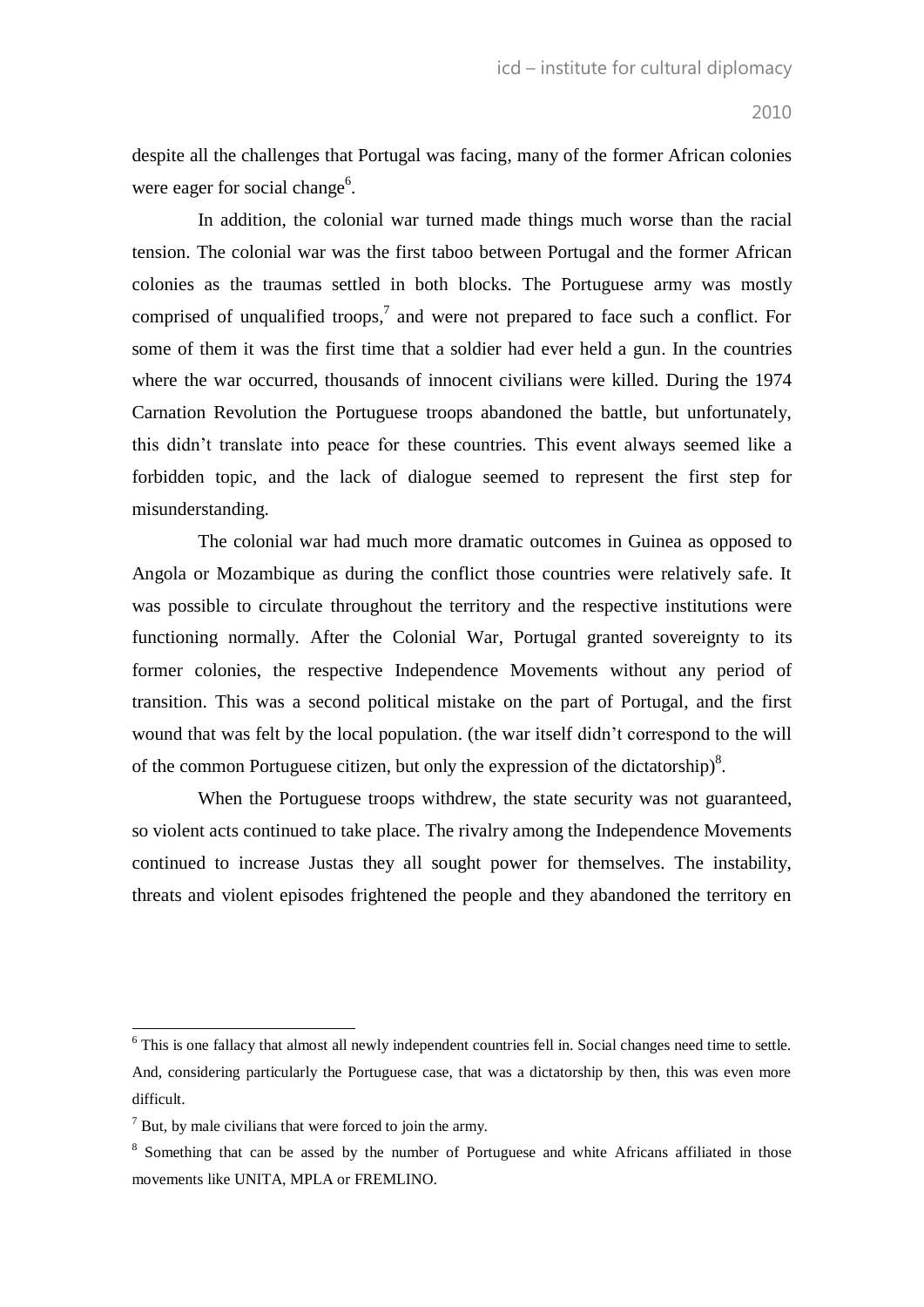despite all the challenges that Portugal was facing, many of the former African colonies were eager for social change<sup>6</sup>.

In addition, the colonial war turned made things much worse than the racial tension. The colonial war was the first taboo between Portugal and the former African colonies as the traumas settled in both blocks. The Portuguese army was mostly comprised of unqualified troops,<sup>7</sup> and were not prepared to face such a conflict. For some of them it was the first time that a soldier had ever held a gun. In the countries where the war occurred, thousands of innocent civilians were killed. During the 1974 Carnation Revolution the Portuguese troops abandoned the battle, but unfortunately, this didn"t translate into peace for these countries. This event always seemed like a forbidden topic, and the lack of dialogue seemed to represent the first step for misunderstanding.

The colonial war had much more dramatic outcomes in Guinea as opposed to Angola or Mozambique as during the conflict those countries were relatively safe. It was possible to circulate throughout the territory and the respective institutions were functioning normally. After the Colonial War, Portugal granted sovereignty to its former colonies, the respective Independence Movements without any period of transition. This was a second political mistake on the part of Portugal, and the first wound that was felt by the local population. (the war itself didn"t correspond to the will of the common Portuguese citizen, but only the expression of the dictatorship) $8$ .

When the Portuguese troops withdrew, the state security was not guaranteed, so violent acts continued to take place. The rivalry among the Independence Movements continued to increase Justas they all sought power for themselves. The instability, threats and violent episodes frightened the people and they abandoned the territory en

 6 This is one fallacy that almost all newly independent countries fell in. Social changes need time to settle. And, considering particularly the Portuguese case, that was a dictatorship by then, this was even more difficult.

 $<sup>7</sup>$  But, by male civilians that were forced to join the army.</sup>

<sup>&</sup>lt;sup>8</sup> Something that can be assed by the number of Portuguese and white Africans affiliated in those movements like UNITA, MPLA or FREMLINO.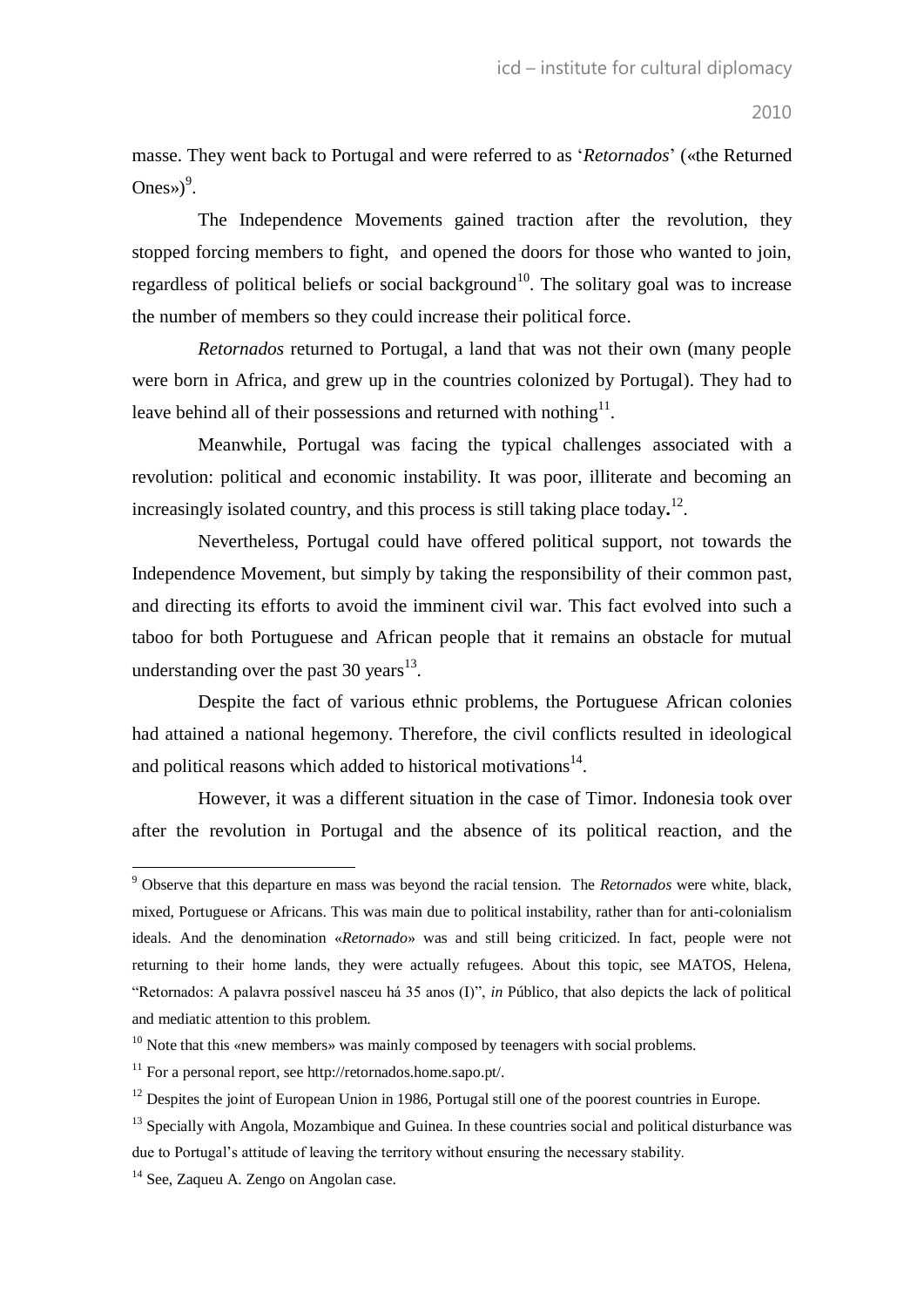masse. They went back to Portugal and were referred to as "*Retornados*" («the Returned Ones» $)^9$ .

The Independence Movements gained traction after the revolution, they stopped forcing members to fight, and opened the doors for those who wanted to join, regardless of political beliefs or social background<sup>10</sup>. The solitary goal was to increase the number of members so they could increase their political force.

*Retornados* returned to Portugal, a land that was not their own (many people were born in Africa, and grew up in the countries colonized by Portugal). They had to leave behind all of their possessions and returned with nothing $^{11}$ .

Meanwhile, Portugal was facing the typical challenges associated with a revolution: political and economic instability. It was poor, illiterate and becoming an increasingly isolated country, and this process is still taking place today**.** 12 .

Nevertheless, Portugal could have offered political support, not towards the Independence Movement, but simply by taking the responsibility of their common past, and directing its efforts to avoid the imminent civil war. This fact evolved into such a taboo for both Portuguese and African people that it remains an obstacle for mutual understanding over the past 30 years $^{13}$ .

Despite the fact of various ethnic problems, the Portuguese African colonies had attained a national hegemony. Therefore, the civil conflicts resulted in ideological and political reasons which added to historical motivations $14$ .

However, it was a different situation in the case of Timor. Indonesia took over after the revolution in Portugal and the absence of its political reaction, and the

<sup>9</sup> Observe that this departure en mass was beyond the racial tension. The *Retornados* were white, black, mixed, Portuguese or Africans. This was main due to political instability, rather than for anti-colonialism ideals. And the denomination «*Retornado*» was and still being criticized. In fact, people were not returning to their home lands, they were actually refugees. About this topic, see MATOS, Helena, "Retornados: A palavra possível nasceu há 35 anos (I)", *in* Público, that also depicts the lack of political and mediatic attention to this problem.

 $10$  Note that this «new members» was mainly composed by teenagers with social problems.

<sup>11</sup> For a personal report, see http://retornados.home.sapo.pt/.

 $12$  Despites the joint of European Union in 1986, Portugal still one of the poorest countries in Europe.

<sup>&</sup>lt;sup>13</sup> Specially with Angola, Mozambique and Guinea. In these countries social and political disturbance was due to Portugal"s attitude of leaving the territory without ensuring the necessary stability.

<sup>&</sup>lt;sup>14</sup> See, Zaqueu A. Zengo on Angolan case.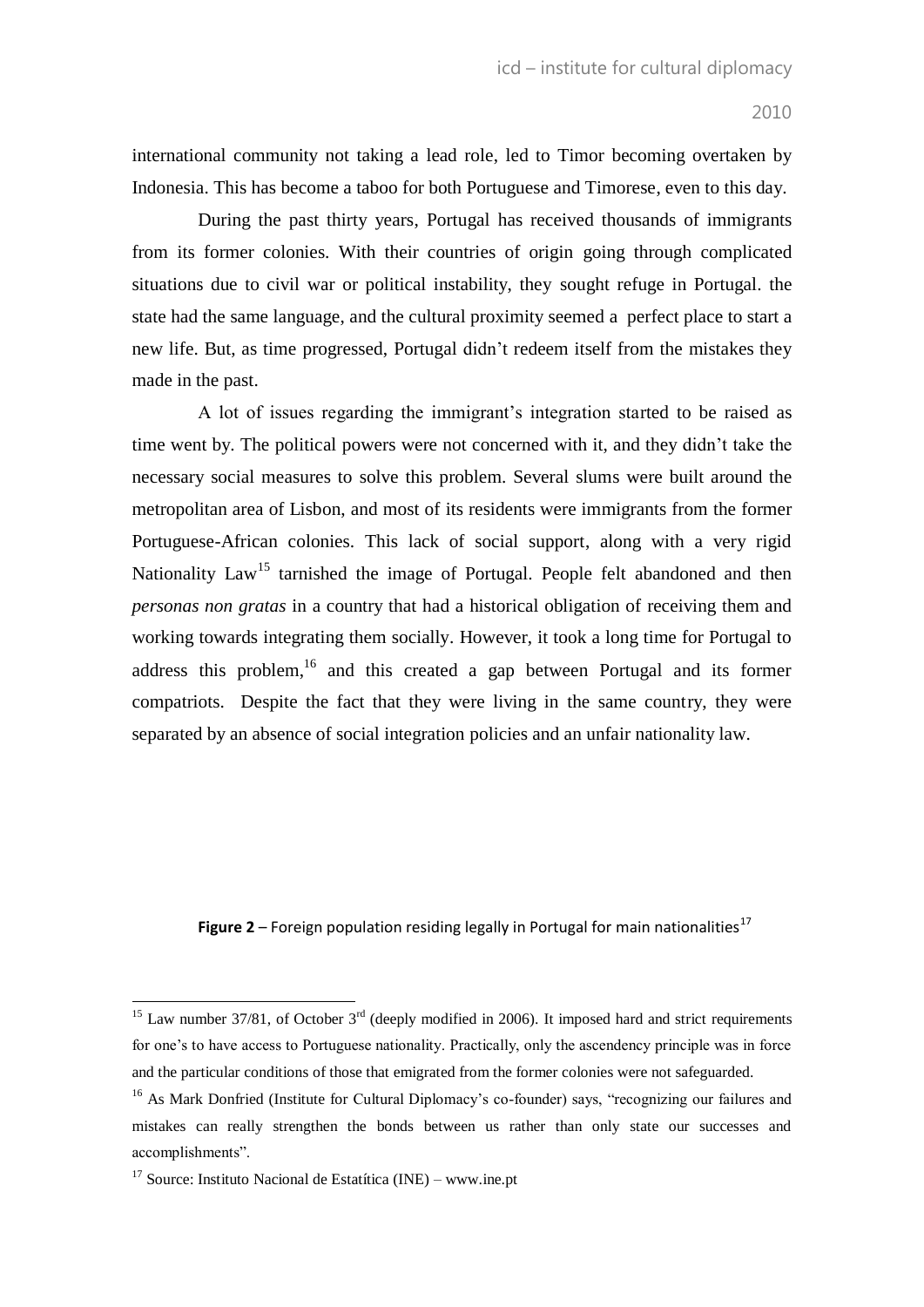international community not taking a lead role, led to Timor becoming overtaken by Indonesia. This has become a taboo for both Portuguese and Timorese, even to this day.

During the past thirty years, Portugal has received thousands of immigrants from its former colonies. With their countries of origin going through complicated situations due to civil war or political instability, they sought refuge in Portugal. the state had the same language, and the cultural proximity seemed a perfect place to start a new life. But, as time progressed, Portugal didn"t redeem itself from the mistakes they made in the past.

A lot of issues regarding the immigrant's integration started to be raised as time went by. The political powers were not concerned with it, and they didn"t take the necessary social measures to solve this problem. Several slums were built around the metropolitan area of Lisbon, and most of its residents were immigrants from the former Portuguese-African colonies. This lack of social support, along with a very rigid Nationality Law<sup>15</sup> tarnished the image of Portugal. People felt abandoned and then *personas non gratas* in a country that had a historical obligation of receiving them and working towards integrating them socially. However, it took a long time for Portugal to address this problem,<sup>16</sup> and this created a gap between Portugal and its former compatriots. Despite the fact that they were living in the same country, they were separated by an absence of social integration policies and an unfair nationality law.

**Figure** 2 – Foreign population residing legally in Portugal for main nationalities<sup>17</sup>

<sup>&</sup>lt;sup>15</sup> Law number 37/81, of October  $3<sup>rd</sup>$  (deeply modified in 2006). It imposed hard and strict requirements for one's to have access to Portuguese nationality. Practically, only the ascendency principle was in force and the particular conditions of those that emigrated from the former colonies were not safeguarded.

<sup>&</sup>lt;sup>16</sup> As Mark Donfried (Institute for Cultural Diplomacy's co-founder) says, "recognizing our failures and mistakes can really strengthen the bonds between us rather than only state our successes and accomplishments".

<sup>&</sup>lt;sup>17</sup> Source: Instituto Nacional de Estatítica (INE) – www.ine.pt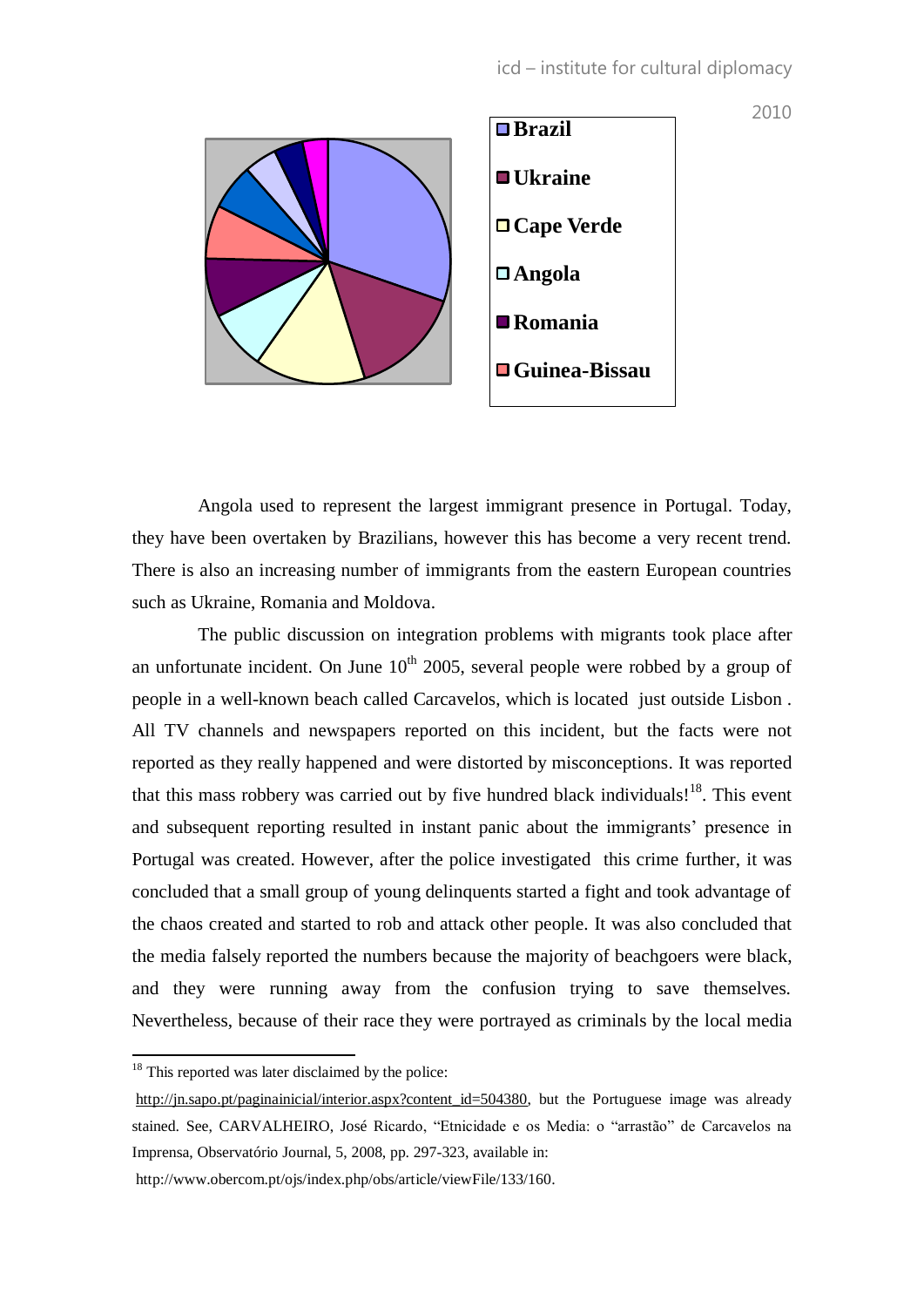

Angola used to represent the largest immigrant presence in Portugal. Today, they have been overtaken by Brazilians, however this has become a very recent trend. There is also an increasing number of immigrants from the eastern European countries such as Ukraine, Romania and Moldova.

The public discussion on integration problems with migrants took place after an unfortunate incident. On June  $10^{th}$  2005, several people were robbed by a group of people in a well-known beach called Carcavelos, which is located just outside Lisbon . All TV channels and newspapers reported on this incident, but the facts were not reported as they really happened and were distorted by misconceptions. It was reported that this mass robbery was carried out by five hundred black individuals!<sup>18</sup>. This event and subsequent reporting resulted in instant panic about the immigrants' presence in Portugal was created. However, after the police investigated this crime further, it was concluded that a small group of young delinquents started a fight and took advantage of the chaos created and started to rob and attack other people. It was also concluded that the media falsely reported the numbers because the majority of beachgoers were black, and they were running away from the confusion trying to save themselves. Nevertheless, because of their race they were portrayed as criminals by the local media

 $18$  This reported was later disclaimed by the police:

[http://jn.sapo.pt/paginainicial/interior.aspx?content\\_id=504380,](http://jn.sapo.pt/paginainicial/interior.aspx?content_id=504380) but the Portuguese image was already stained. See, CARVALHEIRO, José Ricardo, "Etnicidade e os Media: o "arrastão" de Carcavelos na Imprensa, Observatório Journal, 5, 2008, pp. 297-323, available in:

http://www.obercom.pt/ojs/index.php/obs/article/viewFile/133/160.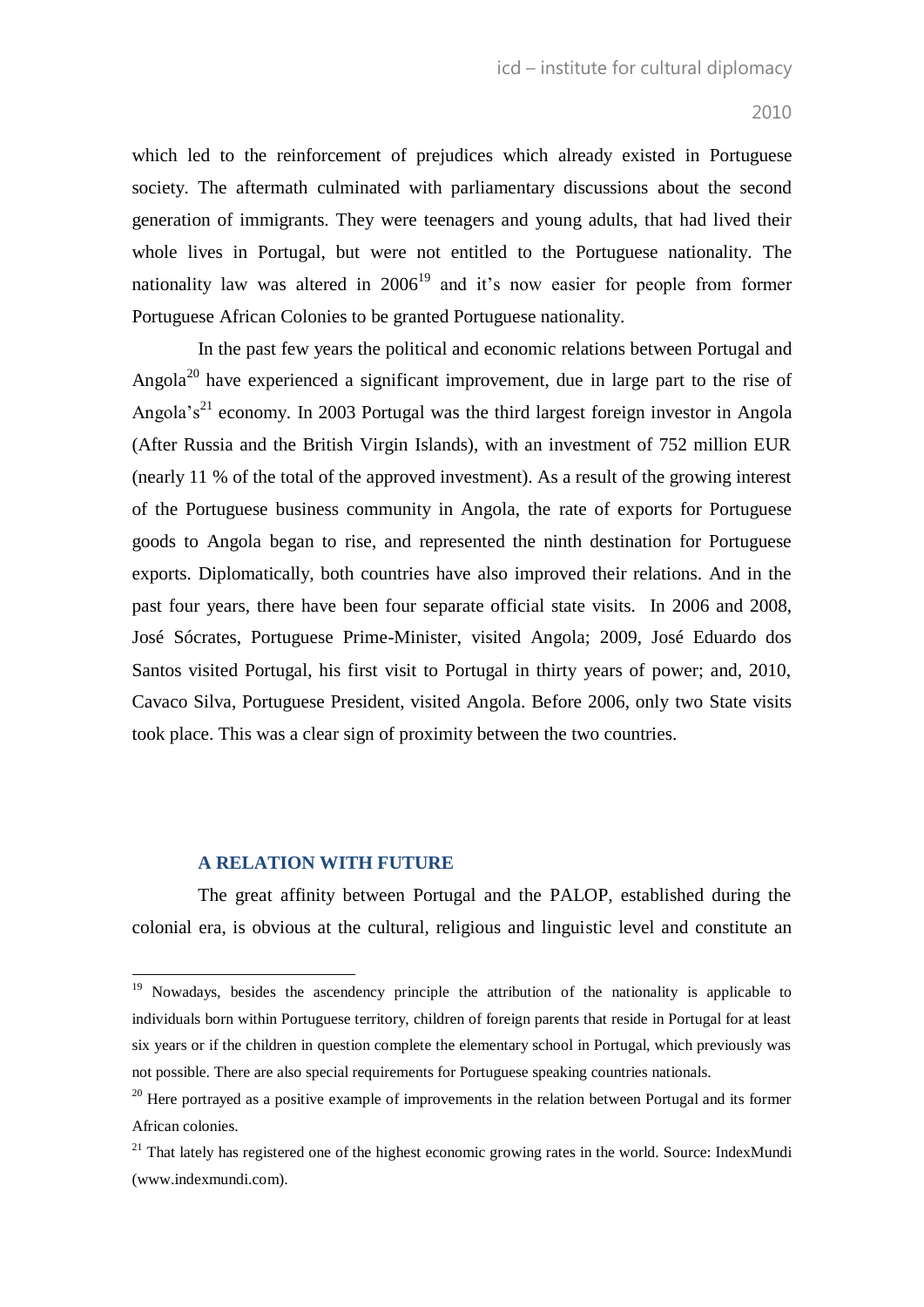which led to the reinforcement of prejudices which already existed in Portuguese society. The aftermath culminated with parliamentary discussions about the second generation of immigrants. They were teenagers and young adults, that had lived their whole lives in Portugal, but were not entitled to the Portuguese nationality. The nationality law was altered in  $2006<sup>19</sup>$  and it's now easier for people from former Portuguese African Colonies to be granted Portuguese nationality.

In the past few years the political and economic relations between Portugal and Angola<sup>20</sup> have experienced a significant improvement, due in large part to the rise of Angola's<sup>21</sup> economy. In 2003 Portugal was the third largest foreign investor in Angola (After Russia and the British Virgin Islands), with an investment of 752 million EUR (nearly 11 % of the total of the approved investment). As a result of the growing interest of the Portuguese business community in Angola, the rate of exports for Portuguese goods to Angola began to rise, and represented the ninth destination for Portuguese exports. Diplomatically, both countries have also improved their relations. And in the past four years, there have been four separate official state visits. In 2006 and 2008, José Sócrates, Portuguese Prime-Minister, visited Angola; 2009, José Eduardo dos Santos visited Portugal, his first visit to Portugal in thirty years of power; and, 2010, Cavaco Silva, Portuguese President, visited Angola. Before 2006, only two State visits took place. This was a clear sign of proximity between the two countries.

#### **A RELATION WITH FUTURE**

 $\overline{a}$ 

The great affinity between Portugal and the PALOP, established during the colonial era, is obvious at the cultural, religious and linguistic level and constitute an

<sup>&</sup>lt;sup>19</sup> Nowadays, besides the ascendency principle the attribution of the nationality is applicable to individuals born within Portuguese territory, children of foreign parents that reside in Portugal for at least six years or if the children in question complete the elementary school in Portugal, which previously was not possible. There are also special requirements for Portuguese speaking countries nationals.

 $20$  Here portrayed as a positive example of improvements in the relation between Portugal and its former African colonies.

 $21$  That lately has registered one of the highest economic growing rates in the world. Source: IndexMundi (www.indexmundi.com).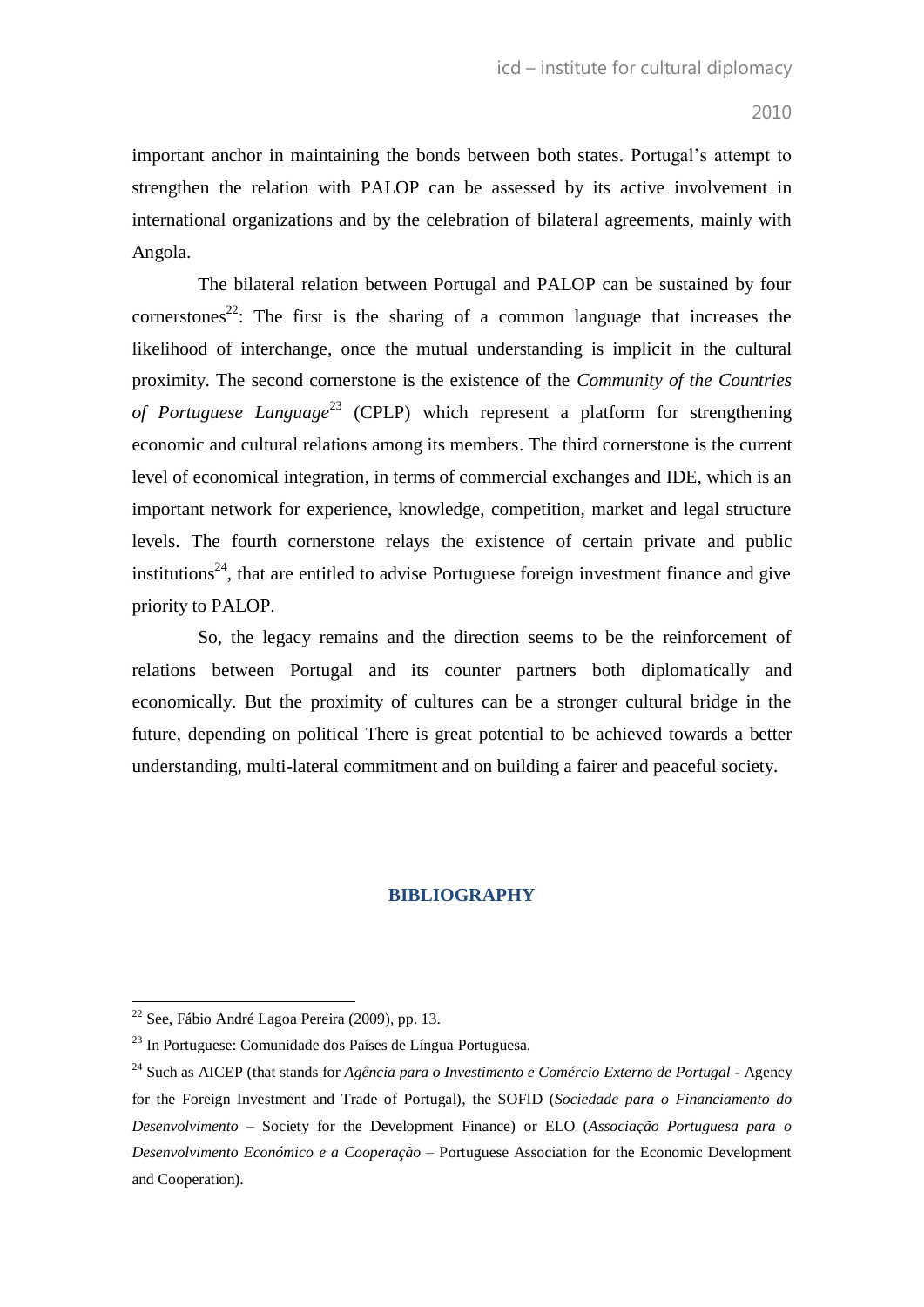important anchor in maintaining the bonds between both states. Portugal"s attempt to strengthen the relation with PALOP can be assessed by its active involvement in international organizations and by the celebration of bilateral agreements, mainly with Angola.

The bilateral relation between Portugal and PALOP can be sustained by four cornerstones<sup>22</sup>: The first is the sharing of a common language that increases the likelihood of interchange, once the mutual understanding is implicit in the cultural proximity. The second cornerstone is the existence of the *Community of the Countries of Portuguese Language*<sup>23</sup> (CPLP) which represent a platform for strengthening economic and cultural relations among its members. The third cornerstone is the current level of economical integration, in terms of commercial exchanges and IDE, which is an important network for experience, knowledge, competition, market and legal structure levels. The fourth cornerstone relays the existence of certain private and public institutions<sup>24</sup>, that are entitled to advise Portuguese foreign investment finance and give priority to PALOP.

So, the legacy remains and the direction seems to be the reinforcement of relations between Portugal and its counter partners both diplomatically and economically. But the proximity of cultures can be a stronger cultural bridge in the future, depending on political There is great potential to be achieved towards a better understanding, multi-lateral commitment and on building a fairer and peaceful society.

## **BIBLIOGRAPHY**

<sup>&</sup>lt;sup>22</sup> See, Fábio André Lagoa Pereira (2009), pp. 13.

<sup>23</sup> In Portuguese: Comunidade dos Países de Língua Portuguesa.

<sup>24</sup> Such as AICEP (that stands for *Agência para o Investimento e Comércio Externo de Portugal* - Agency for the Foreign Investment and Trade of Portugal), the SOFID (*Sociedade para o Financiamento do Desenvolvimento* – Society for the Development Finance) or ELO (*Associação Portuguesa para o Desenvolvimento Económico e a Cooperação* – Portuguese Association for the Economic Development and Cooperation).